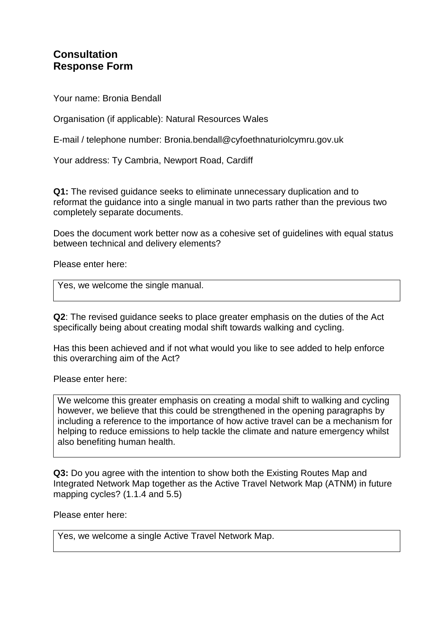## **Consultation Response Form**

Your name: Bronia Bendall

Organisation (if applicable): Natural Resources Wales

E-mail / telephone number: Bronia.bendall@cyfoethnaturiolcymru.gov.uk

Your address: Ty Cambria, Newport Road, Cardiff

**Q1:** The revised guidance seeks to eliminate unnecessary duplication and to reformat the guidance into a single manual in two parts rather than the previous two completely separate documents.

Does the document work better now as a cohesive set of guidelines with equal status between technical and delivery elements?

Please enter here:

Yes, we welcome the single manual.

**Q2**: The revised guidance seeks to place greater emphasis on the duties of the Act specifically being about creating modal shift towards walking and cycling.

Has this been achieved and if not what would you like to see added to help enforce this overarching aim of the Act?

Please enter here:

We welcome this greater emphasis on creating a modal shift to walking and cycling however, we believe that this could be strengthened in the opening paragraphs by including a reference to the importance of how active travel can be a mechanism for helping to reduce emissions to help tackle the climate and nature emergency whilst also benefiting human health.

**Q3:** Do you agree with the intention to show both the Existing Routes Map and Integrated Network Map together as the Active Travel Network Map (ATNM) in future mapping cycles? (1.1.4 and 5.5)

Please enter here:

Yes, we welcome a single Active Travel Network Map.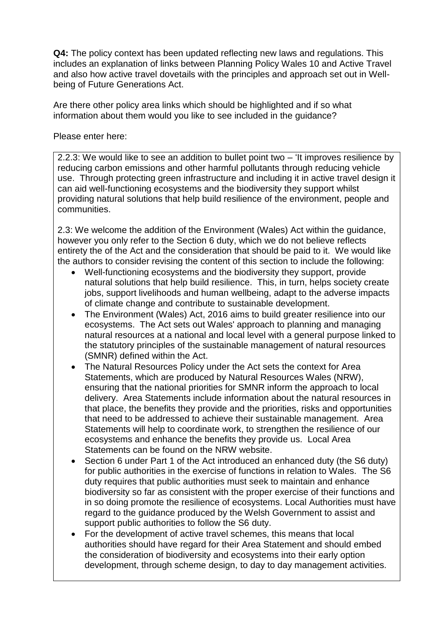**Q4:** The policy context has been updated reflecting new laws and regulations. This includes an explanation of links between Planning Policy Wales 10 and Active Travel and also how active travel dovetails with the principles and approach set out in Wellbeing of Future Generations Act.

Are there other policy area links which should be highlighted and if so what information about them would you like to see included in the guidance?

Please enter here:

2.2.3: We would like to see an addition to bullet point two – 'It improves resilience by reducing carbon emissions and other harmful pollutants through reducing vehicle use. Through protecting green infrastructure and including it in active travel design it can aid well-functioning ecosystems and the biodiversity they support whilst providing natural solutions that help build resilience of the environment, people and communities.

2.3: We welcome the addition of the Environment (Wales) Act within the guidance, however you only refer to the Section 6 duty, which we do not believe reflects entirety the of the Act and the consideration that should be paid to it. We would like the authors to consider revising the content of this section to include the following:

- Well-functioning ecosystems and the biodiversity they support, provide natural solutions that help build resilience. This, in turn, helps society create jobs, support livelihoods and human wellbeing, adapt to the adverse impacts of climate change and contribute to sustainable development.
- The Environment (Wales) Act, 2016 aims to build greater resilience into our ecosystems. The Act sets out Wales' approach to planning and managing natural resources at a national and local level with a general purpose linked to the statutory principles of the sustainable management of natural resources (SMNR) defined within the Act.
- The Natural Resources Policy under the Act sets the context for Area Statements, which are produced by Natural Resources Wales (NRW), ensuring that the national priorities for SMNR inform the approach to local delivery. Area Statements include information about the natural resources in that place, the benefits they provide and the priorities, risks and opportunities that need to be addressed to achieve their sustainable management. Area Statements will help to coordinate work, to strengthen the resilience of our ecosystems and enhance the benefits they provide us. Local Area Statements can be found on the NRW website.
- Section 6 under Part 1 of the Act introduced an enhanced duty (the S6 duty) for public authorities in the exercise of functions in relation to Wales. The S6 duty requires that public authorities must seek to maintain and enhance biodiversity so far as consistent with the proper exercise of their functions and in so doing promote the resilience of ecosystems. Local Authorities must have regard to the guidance produced by the Welsh Government to assist and support public authorities to follow the S6 duty.
- For the development of active travel schemes, this means that local authorities should have regard for their Area Statement and should embed the consideration of biodiversity and ecosystems into their early option development, through scheme design, to day to day management activities.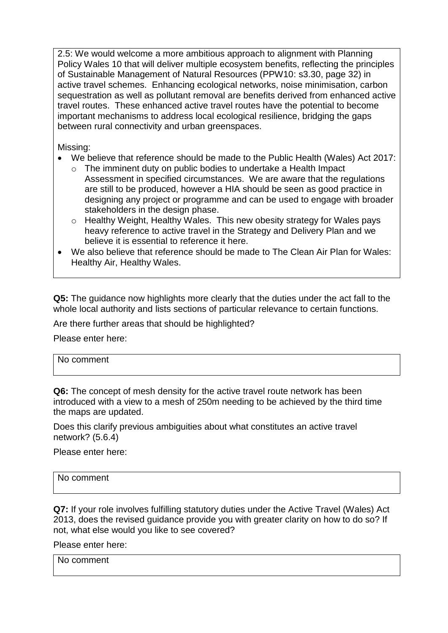2.5: We would welcome a more ambitious approach to alignment with Planning Policy Wales 10 that will deliver multiple ecosystem benefits, reflecting the principles of Sustainable Management of Natural Resources (PPW10: s3.30, page 32) in active travel schemes. Enhancing ecological networks, noise minimisation, carbon sequestration as well as pollutant removal are benefits derived from enhanced active travel routes. These enhanced active travel routes have the potential to become important mechanisms to address local ecological resilience, bridging the gaps between rural connectivity and urban greenspaces.

Missing:

- We believe that reference should be made to the Public Health (Wales) Act 2017:
	- o The imminent duty on public bodies to undertake a Health Impact Assessment in specified circumstances. We are aware that the regulations are still to be produced, however a HIA should be seen as good practice in designing any project or programme and can be used to engage with broader stakeholders in the design phase.
	- o Healthy Weight, Healthy Wales. This new obesity strategy for Wales pays heavy reference to active travel in the Strategy and Delivery Plan and we believe it is essential to reference it here.
- We also believe that reference should be made to The Clean Air Plan for Wales: Healthy Air, Healthy Wales.

**Q5:** The guidance now highlights more clearly that the duties under the act fall to the whole local authority and lists sections of particular relevance to certain functions.

Are there further areas that should be highlighted?

Please enter here:

| <b></b> |  |  |
|---------|--|--|
|         |  |  |
|         |  |  |
|         |  |  |
|         |  |  |
|         |  |  |

**Q6:** The concept of mesh density for the active travel route network has been introduced with a view to a mesh of 250m needing to be achieved by the third time the maps are updated.

Does this clarify previous ambiguities about what constitutes an active travel network? (5.6.4)

Please enter here:

| No comment |  |  |
|------------|--|--|
|            |  |  |

**Q7:** If your role involves fulfilling statutory duties under the Active Travel (Wales) Act 2013, does the revised guidance provide you with greater clarity on how to do so? If not, what else would you like to see covered?

Please enter here:

No comment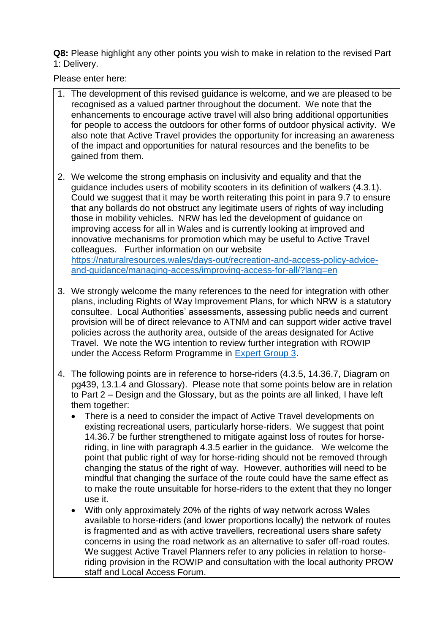**Q8:** Please highlight any other points you wish to make in relation to the revised Part 1: Delivery.

Please enter here:

- 1. The development of this revised guidance is welcome, and we are pleased to be recognised as a valued partner throughout the document. We note that the enhancements to encourage active travel will also bring additional opportunities for people to access the outdoors for other forms of outdoor physical activity. We also note that Active Travel provides the opportunity for increasing an awareness of the impact and opportunities for natural resources and the benefits to be gained from them.
- 2. We welcome the strong emphasis on inclusivity and equality and that the guidance includes users of mobility scooters in its definition of walkers (4.3.1). Could we suggest that it may be worth reiterating this point in para 9.7 to ensure that any bollards do not obstruct any legitimate users of rights of way including those in mobility vehicles. NRW has led the development of guidance on improving access for all in Wales and is currently looking at improved and innovative mechanisms for promotion which may be useful to Active Travel colleagues. Further information on our website [https://naturalresources.wales/days-out/recreation-and-access-policy-advice](https://naturalresources.wales/days-out/recreation-and-access-policy-advice-and-guidance/managing-access/improving-access-for-all/?lang=en)[and-guidance/managing-access/improving-access-for-all/?lang=en](https://naturalresources.wales/days-out/recreation-and-access-policy-advice-and-guidance/managing-access/improving-access-for-all/?lang=en)
- 3. We strongly welcome the many references to the need for integration with other plans, including Rights of Way Improvement Plans, for which NRW is a statutory consultee. Local Authorities' assessments, assessing public needs and current provision will be of direct relevance to ATNM and can support wider active travel policies across the authority area, outside of the areas designated for Active Travel. We note the WG intention to review further integration with ROWIP under the Access Reform Programme in [Expert Group 3.](https://gov.wales/access-reform-advisory-group)
- 4. The following points are in reference to horse-riders (4.3.5, 14.36.7, Diagram on pg439, 13.1.4 and Glossary). Please note that some points below are in relation to Part 2 – Design and the Glossary, but as the points are all linked, I have left them together:
	- There is a need to consider the impact of Active Travel developments on existing recreational users, particularly horse-riders. We suggest that point 14.36.7 be further strengthened to mitigate against loss of routes for horseriding, in line with paragraph 4.3.5 earlier in the guidance. We welcome the point that public right of way for horse-riding should not be removed through changing the status of the right of way. However, authorities will need to be mindful that changing the surface of the route could have the same effect as to make the route unsuitable for horse-riders to the extent that they no longer use it.
	- With only approximately 20% of the rights of way network across Wales available to horse-riders (and lower proportions locally) the network of routes is fragmented and as with active travellers, recreational users share safety concerns in using the road network as an alternative to safer off-road routes. We suggest Active Travel Planners refer to any policies in relation to horseriding provision in the ROWIP and consultation with the local authority PROW staff and Local Access Forum.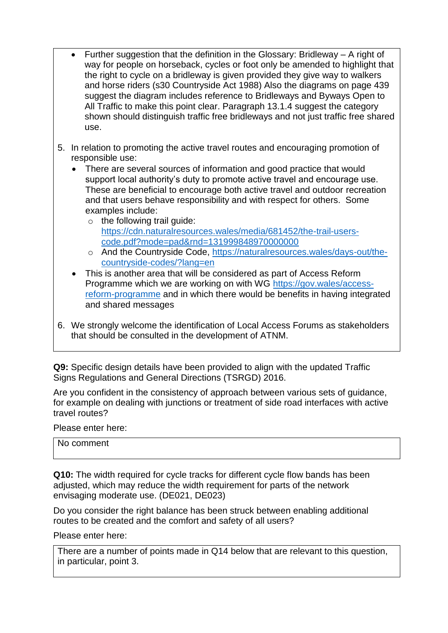- Further suggestion that the definition in the Glossary: Bridleway A right of way for people on horseback, cycles or foot only be amended to highlight that the right to cycle on a bridleway is given provided they give way to walkers and horse riders (s30 Countryside Act 1988) Also the diagrams on page 439 suggest the diagram includes reference to Bridleways and Byways Open to All Traffic to make this point clear. Paragraph 13.1.4 suggest the category shown should distinguish traffic free bridleways and not just traffic free shared use.
- 5. In relation to promoting the active travel routes and encouraging promotion of responsible use:
	- There are several sources of information and good practice that would support local authority's duty to promote active travel and encourage use. These are beneficial to encourage both active travel and outdoor recreation and that users behave responsibility and with respect for others. Some examples include:
		- $\circ$  the following trail guide: [https://cdn.naturalresources.wales/media/681452/the-trail-users](https://cdn.naturalresources.wales/media/681452/the-trail-users-code.pdf?mode=pad&rnd=131999848970000000)[code.pdf?mode=pad&rnd=131999848970000000](https://cdn.naturalresources.wales/media/681452/the-trail-users-code.pdf?mode=pad&rnd=131999848970000000)
		- o And the Countryside Code, [https://naturalresources.wales/days-out/the](https://naturalresources.wales/days-out/the-countryside-codes/?lang=en)[countryside-codes/?lang=en](https://naturalresources.wales/days-out/the-countryside-codes/?lang=en)
	- This is another area that will be considered as part of Access Reform Programme which we are working on with WG [https://gov.wales/access](https://gov.wales/access-reform-programme)[reform-programme](https://gov.wales/access-reform-programme) and in which there would be benefits in having integrated and shared messages
- 6. We strongly welcome the identification of Local Access Forums as stakeholders that should be consulted in the development of ATNM.

**Q9:** Specific design details have been provided to align with the updated Traffic Signs Regulations and General Directions (TSRGD) 2016.

Are you confident in the consistency of approach between various sets of guidance, for example on dealing with junctions or treatment of side road interfaces with active travel routes?

Please enter here:

| No comment |  |  |  |
|------------|--|--|--|
|            |  |  |  |

**Q10:** The width required for cycle tracks for different cycle flow bands has been adjusted, which may reduce the width requirement for parts of the network envisaging moderate use. (DE021, DE023)

Do you consider the right balance has been struck between enabling additional routes to be created and the comfort and safety of all users?

Please enter here:

There are a number of points made in Q14 below that are relevant to this question, in particular, point 3.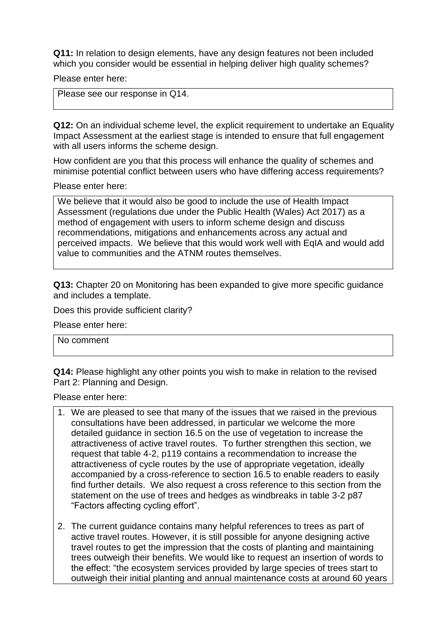**Q11:** In relation to design elements, have any design features not been included which you consider would be essential in helping deliver high quality schemes?

Please enter here:

Please see our response in Q14.

**Q12:** On an individual scheme level, the explicit requirement to undertake an Equality Impact Assessment at the earliest stage is intended to ensure that full engagement with all users informs the scheme design.

How confident are you that this process will enhance the quality of schemes and minimise potential conflict between users who have differing access requirements?

Please enter here:

We believe that it would also be good to include the use of Health Impact Assessment (regulations due under the Public Health (Wales) Act 2017) as a method of engagement with users to inform scheme design and discuss recommendations, mitigations and enhancements across any actual and perceived impacts. We believe that this would work well with EqIA and would add value to communities and the ATNM routes themselves.

**Q13:** Chapter 20 on Monitoring has been expanded to give more specific guidance and includes a template.

Does this provide sufficient clarity?

Please enter here:

No comment

**Q14:** Please highlight any other points you wish to make in relation to the revised Part 2: Planning and Design.

Please enter here:

- 1. We are pleased to see that many of the issues that we raised in the previous consultations have been addressed, in particular we welcome the more detailed guidance in section 16.5 on the use of vegetation to increase the attractiveness of active travel routes. To further strengthen this section, we request that table 4-2, p119 contains a recommendation to increase the attractiveness of cycle routes by the use of appropriate vegetation, ideally accompanied by a cross-reference to section 16.5 to enable readers to easily find further details. We also request a cross reference to this section from the statement on the use of trees and hedges as windbreaks in table 3-2 p87 "Factors affecting cycling effort".
- 2. The current guidance contains many helpful references to trees as part of active travel routes. However, it is still possible for anyone designing active travel routes to get the impression that the costs of planting and maintaining trees outweigh their benefits. We would like to request an insertion of words to the effect: "the ecosystem services provided by large species of trees start to outweigh their initial planting and annual maintenance costs at around 60 years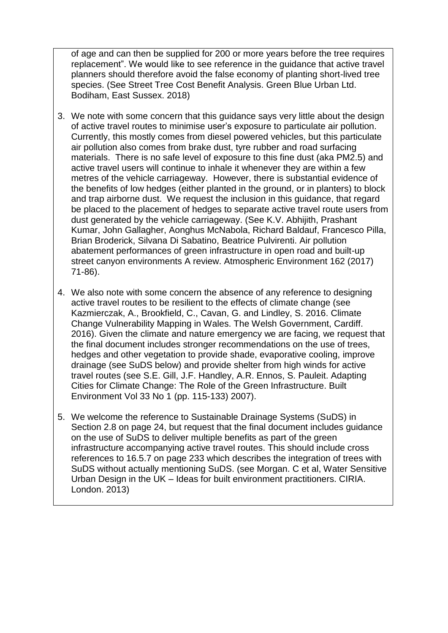of age and can then be supplied for 200 or more years before the tree requires replacement". We would like to see reference in the guidance that active travel planners should therefore avoid the false economy of planting short-lived tree species. (See Street Tree Cost Benefit Analysis. Green Blue Urban Ltd. Bodiham, East Sussex. 2018)

- 3. We note with some concern that this guidance says very little about the design of active travel routes to minimise user's exposure to particulate air pollution. Currently, this mostly comes from diesel powered vehicles, but this particulate air pollution also comes from brake dust, tyre rubber and road surfacing materials. There is no safe level of exposure to this fine dust (aka PM2.5) and active travel users will continue to inhale it whenever they are within a few metres of the vehicle carriageway. However, there is substantial evidence of the benefits of low hedges (either planted in the ground, or in planters) to block and trap airborne dust. We request the inclusion in this guidance, that regard be placed to the placement of hedges to separate active travel route users from dust generated by the vehicle carriageway. (See K.V. Abhijith, Prashant Kumar, John Gallagher, Aonghus McNabola, Richard Baldauf, Francesco Pilla, Brian Broderick, Silvana Di Sabatino, Beatrice Pulvirenti. Air pollution abatement performances of green infrastructure in open road and built-up street canyon environments A review. Atmospheric Environment 162 (2017) 71-86).
- 4. We also note with some concern the absence of any reference to designing active travel routes to be resilient to the effects of climate change (see Kazmierczak, A., Brookfield, C., Cavan, G. and Lindley, S. 2016. Climate Change Vulnerability Mapping in Wales. The Welsh Government, Cardiff. 2016). Given the climate and nature emergency we are facing, we request that the final document includes stronger recommendations on the use of trees, hedges and other vegetation to provide shade, evaporative cooling, improve drainage (see SuDS below) and provide shelter from high winds for active travel routes (see S.E. Gill, J.F. Handley, A.R. Ennos, S. Pauleit. Adapting Cities for Climate Change: The Role of the Green Infrastructure. Built Environment Vol 33 No 1 (pp. 115-133) 2007).
- 5. We welcome the reference to Sustainable Drainage Systems (SuDS) in Section 2.8 on page 24, but request that the final document includes guidance on the use of SuDS to deliver multiple benefits as part of the green infrastructure accompanying active travel routes. This should include cross references to 16.5.7 on page 233 which describes the integration of trees with SuDS without actually mentioning SuDS. (see Morgan. C et al, Water Sensitive Urban Design in the UK – Ideas for built environment practitioners. CIRIA. London. 2013)